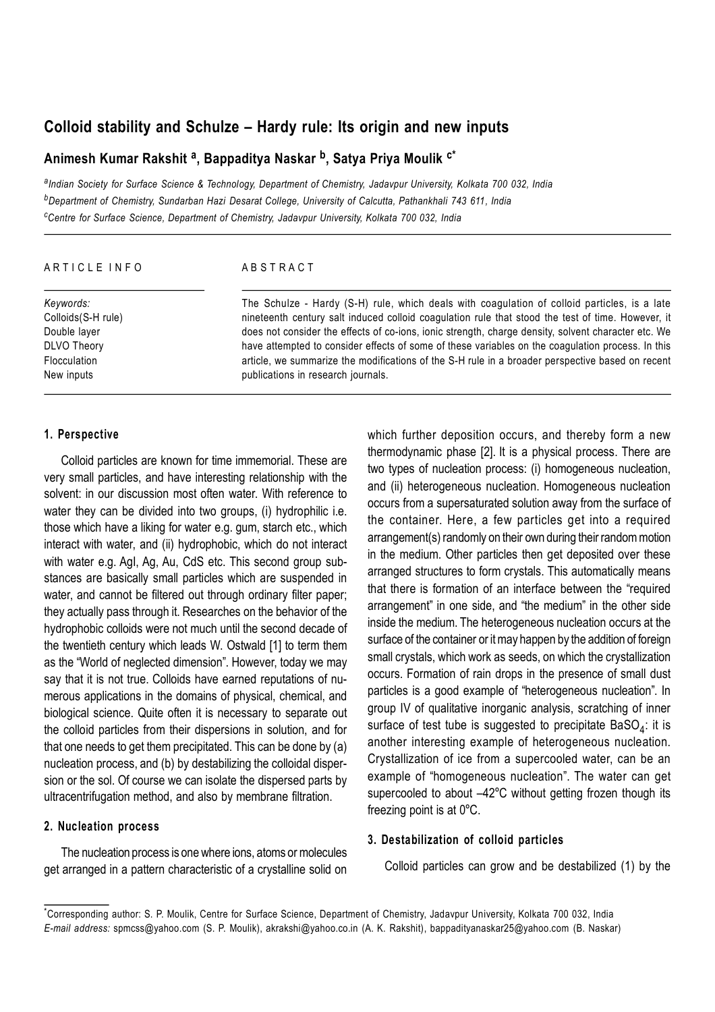# **Colloid stability and Schulze – Hardy rule: Its origin and new inputs**

# **Animesh Kumar Rakshit <sup>a</sup> , Bappaditya Naskar <sup>b</sup> , Satya Priya Moulik c\***

*a Indian Society for Surface Science & Technology, Department of Chemistry, Jadavpur University, Kolkata 700 032, India <sup>b</sup>Department of Chemistry, Sundarban Hazi Desarat College, University of Calcutta, Pathankhali 743 611, India <sup>c</sup>Centre for Surface Science, Department of Chemistry, Jadavpur University, Kolkata 700 032, India*

| ARTICLE INFO        | ABSTRACT                                                                                            |  |  |  |  |
|---------------------|-----------------------------------------------------------------------------------------------------|--|--|--|--|
| Keywords:           | The Schulze - Hardy (S-H) rule, which deals with coagulation of colloid particles, is a late        |  |  |  |  |
| Colloids (S-H rule) | nineteenth century salt induced colloid coagulation rule that stood the test of time. However, it   |  |  |  |  |
| Double layer        | does not consider the effects of co-ions, ionic strength, charge density, solvent character etc. We |  |  |  |  |
| <b>DLVO Theory</b>  | have attempted to consider effects of some of these variables on the coagulation process. In this   |  |  |  |  |
| Flocculation        | article, we summarize the modifications of the S-H rule in a broader perspective based on recent    |  |  |  |  |
| New inputs          | publications in research journals.                                                                  |  |  |  |  |

### **1. Perspective**

Colloid particles are known for time immemorial. These are very small particles, and have interesting relationship with the solvent: in our discussion most often water. With reference to water they can be divided into two groups, (i) hydrophilic i.e. those which have a liking for water e.g. gum, starch etc., which interact with water, and (ii) hydrophobic, which do not interact with water e.g. AgI, Ag, Au, CdS etc. This second group substances are basically small particles which are suspended in water, and cannot be filtered out through ordinary filter paper; they actually pass through it. Researches on the behavior of the hydrophobic colloids were not much until the second decade of the twentieth century which leads W. Ostwald [1] to term them as the "World of neglected dimension". However, today we may say that it is not true. Colloids have earned reputations of numerous applications in the domains of physical, chemical, and biological science. Quite often it is necessary to separate out the colloid particles from their dispersions in solution, and for that one needs to get them precipitated. This can be done by (a) nucleation process, and (b) by destabilizing the colloidal dispersion or the sol. Of course we can isolate the dispersed parts by ultracentrifugation method, and also by membrane filtration.

## **2. Nucleation process**

The nucleation process is one where ions, atoms or molecules get arranged in a pattern characteristic of a crystalline solid on which further deposition occurs, and thereby form a new thermodynamic phase [2]. It is a physical process. There are two types of nucleation process: (i) homogeneous nucleation, and (ii) heterogeneous nucleation. Homogeneous nucleation occurs from a supersaturated solution away from the surface of the container. Here, a few particles get into a required arrangement(s) randomly on their own during their random motion in the medium. Other particles then get deposited over these arranged structures to form crystals. This automatically means that there is formation of an interface between the "required arrangement" in one side, and "the medium" in the other side inside the medium. The heterogeneous nucleation occurs at the surface of the container or it may happen by the addition of foreign small crystals, which work as seeds, on which the crystallization occurs. Formation of rain drops in the presence of small dust particles is a good example of "heterogeneous nucleation". In group IV of qualitative inorganic analysis, scratching of inner surface of test tube is suggested to precipitate BaSO $_4$ : it is another interesting example of heterogeneous nucleation. Crystallization of ice from a supercooled water, can be an example of "homogeneous nucleation". The water can get supercooled to about –42ºC without getting frozen though its freezing point is at 0ºC.

# **3. Destabilization of colloid particles**

Colloid particles can grow and be destabilized (1) by the

<sup>\*</sup>Corresponding author: S. P. Moulik, Centre for Surface Science, Department of Chemistry, Jadavpur University, Kolkata 700 032, India *E-mail address:* spmcss@yahoo.com (S. P. Moulik), akrakshi@yahoo.co.in (A. K. Rakshit), bappadityanaskar25@yahoo.com (B. Naskar)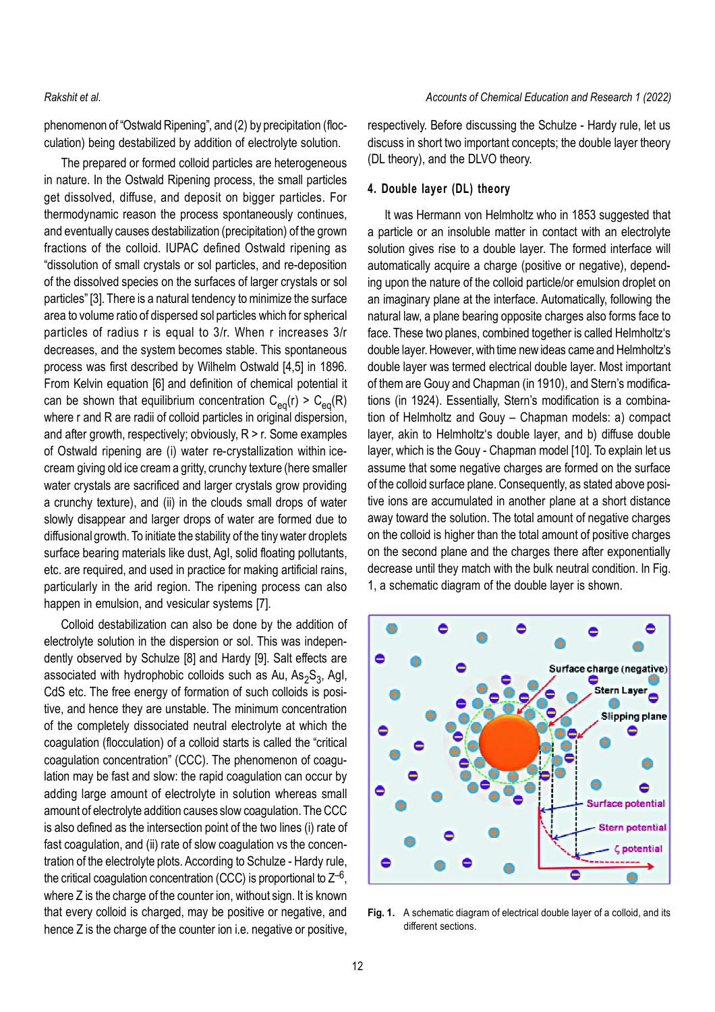phenomenon of "Ostwald Ripening", and (2) by precipitation (flocculation) being destabilized by addition of electrolyte solution.

The prepared or formed colloid particles are heterogeneous in nature. In the Ostwald Ripening process, the small particles get dissolved, diffuse, and deposit on bigger particles. For thermodynamic reason the process spontaneously continues, and eventually causes destabilization (precipitation) of the grown fractions of the colloid. IUPAC defined Ostwald ripening as "dissolution of small crystals or sol particles, and re-deposition of the dissolved species on the surfaces of larger crystals or sol particles" [3]. There is a natural tendency to minimize the surface area to volume ratio of dispersed sol particles which for spherical particles of radius r is equal to 3/r. When r increases 3/r decreases, and the system becomes stable. This spontaneous process was first described by Wilhelm Ostwald [4,5] in 1896. From Kelvin equation [6] and definition of chemical potential it can be shown that equilibrium concentration  $C_{\text{eq}}(r) > C_{\text{eq}}(R)$ where r and R are radii of colloid particles in original dispersion, and after growth, respectively; obviously,  $R > r$ . Some examples of Ostwald ripening are (i) water re-crystallization within icecream giving old ice cream a gritty, crunchy texture (here smaller water crystals are sacrificed and larger crystals grow providing a crunchy texture), and (ii) in the clouds small drops of water slowly disappear and larger drops of water are formed due to diffusional growth. To initiate the stability of the tiny water droplets surface bearing materials like dust, AgI, solid floating pollutants, etc. are required, and used in practice for making artificial rains, particularly in the arid region. The ripening process can also happen in emulsion, and vesicular systems [7].

Colloid destabilization can also be done by the addition of electrolyte solution in the dispersion or sol. This was independently observed by Schulze [8] and Hardy [9]. Salt effects are associated with hydrophobic colloids such as Au, As<sub>2</sub>S<sub>3</sub>, AgI, CdS etc. The free energy of formation of such colloids is positive, and hence they are unstable. The minimum concentration of the completely dissociated neutral electrolyte at which the coagulation (flocculation) of a colloid starts is called the "critical coagulation concentration" (CCC). The phenomenon of coagulation may be fast and slow: the rapid coagulation can occur by adding large amount of electrolyte in solution whereas small amount of electrolyte addition causes slow coagulation. The CCC is also defined as the intersection point of the two lines (i) rate of fast coagulation, and (ii) rate of slow coagulation vs the concentration of the electrolyte plots. According to Schulze - Hardy rule, the critical coagulation concentration (CCC) is proportional to  $Z^{-6}$ , where Z is the charge of the counter ion, without sign. It is known that every colloid is charged, may be positive or negative, and hence Z is the charge of the counter ion *i.e.* negative or positive,

respectively. Before discussing the Schulze - Hardy rule, let us discuss in short two important concepts; the double layer theory (DL theory), and the DLVO theory.

# **4. Double layer (DL) theory**

It was Hermann von Helmholtz who in 1853 suggested that a particle or an insoluble matter in contact with an electrolyte solution gives rise to a double layer. The formed interface will automatically acquire a charge (positive or negative), depending upon the nature of the colloid particle/or emulsion droplet on an imaginary plane at the interface. Automatically, following the natural law, a plane bearing opposite charges also forms face to face. These two planes, combined together is called Helmholtz's double layer. However, with time new ideas came and Helmholtz's double layer was termed electrical double layer. Most important of them are Gouy and Chapman (in 1910), and Stern's modifications (in 1924). Essentially, Stern's modification is a combination of Helmholtz and Gouy – Chapman models: a) compact layer, akin to Helmholtz's double layer, and b) diffuse double layer, which is the Gouy - Chapman model [10]. To explain let us assume that some negative charges are formed on the surface of the colloid surface plane. Consequently, as stated above positive ions are accumulated in another plane at a short distance away toward the solution. The total amount of negative charges on the colloid is higher than the total amount of positive charges on the second plane and the charges there after exponentially decrease until they match with the bulk neutral condition. In Fig. 1, a schematic diagram of the double layer is shown.



**Fig. 1.** A schematic diagram of electrical double layer of a colloid, and its different sections.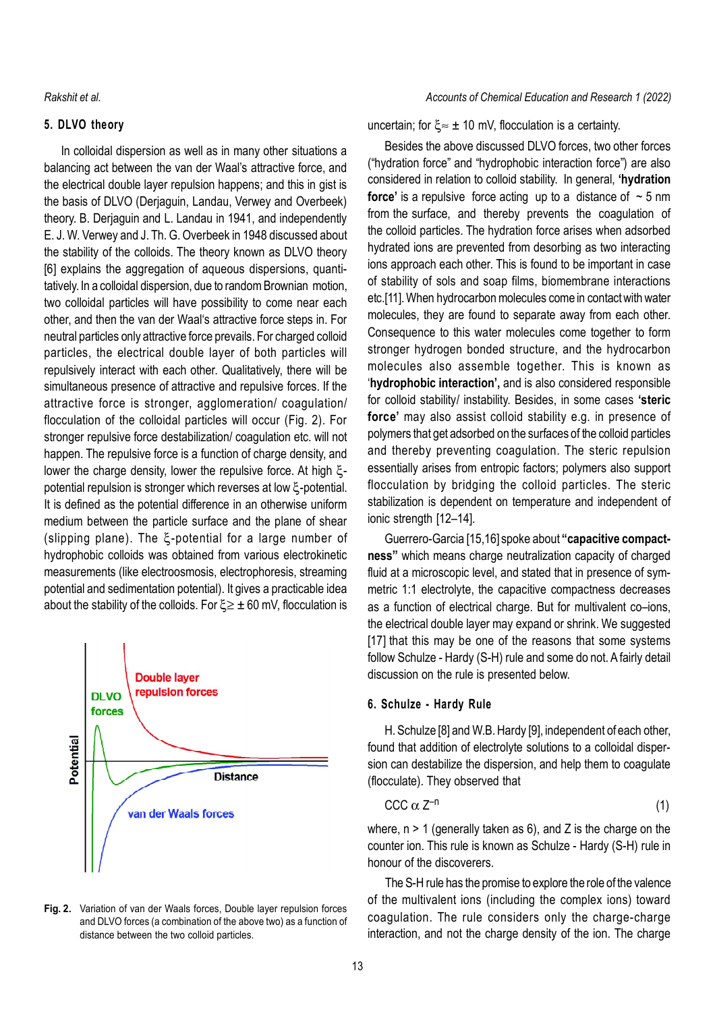# **5. DLVO theory**

In colloidal dispersion as well as in many other situations a balancing act between the van der Waal's attractive force, and the electrical double layer repulsion happens; and this in gist is the basis of DLVO (Derjaguin, Landau, Verwey and Overbeek) theory. B. Derjaguin and L. Landau in 1941, and independently E. J. W. Verwey and J. Th. G. Overbeek in 1948 discussed about the stability of the colloids. The theory known as DLVO theory [6] explains the aggregation of aqueous dispersions, quantitatively. In a colloidal dispersion, due to random Brownian motion, two colloidal particles will have possibility to come near each other, and then the van der Waal's attractive force steps in. For neutral particles only attractive force prevails. For charged colloid particles, the electrical double layer of both particles will repulsively interact with each other. Qualitatively, there will be simultaneous presence of attractive and repulsive forces. If the attractive force is stronger, agglomeration/ coagulation/ flocculation of the colloidal particles will occur (Fig. 2). For stronger repulsive force destabilization/ coagulation etc. will not happen. The repulsive force is a function of charge density, and lower the charge density, lower the repulsive force. At high  $\xi$ potential repulsion is stronger which reverses at low  $\xi$ -potential. It is defined as the potential difference in an otherwise uniform medium between the particle surface and the plane of shear (slipping plane). The  $\xi$ -potential for a large number of hydrophobic colloids was obtained from various electrokinetic measurements (like electroosmosis, electrophoresis, streaming potential and sedimentation potential). It gives a practicable idea about the stability of the colloids. For  $\xi \geq \pm 60$  mV, flocculation is



**Fig. 2.** Variation of van der Waals forces, Double layer repulsion forces and DLVO forces (a combination of the above two) as a function of distance between the two colloid particles.

# *Rakshit et al. Accounts of Chemical Education and Research 1 (2022)*

uncertain; for  $\xi \approx \pm 10$  mV, flocculation is a certainty.

Besides the above discussed DLVO forces, two other forces ("hydration force" and "hydrophobic interaction force") are also considered in relation to colloid stability. In general, **'hydration force'** is a repulsive force acting up to a distance of  $\sim$  5 nm from the surface, and thereby prevents the coagulation of the colloid particles. The hydration force arises when adsorbed hydrated ions are prevented from desorbing as two interacting ions approach each other. This is found to be important in case of stability of sols and soap films, biomembrane interactions etc.[11]. When hydrocarbon molecules come in contact with water molecules, they are found to separate away from each other. Consequence to this water molecules come together to form stronger hydrogen bonded structure, and the hydrocarbon molecules also assemble together. This is known as '**hydrophobic interaction',** and is also considered responsible for colloid stability/ instability. Besides, in some cases **'steric force'** may also assist colloid stability e.g. in presence of polymers that get adsorbed on the surfaces of the colloid particles and thereby preventing coagulation. The steric repulsion essentially arises from entropic factors; polymers also support flocculation by bridging the colloid particles. The steric stabilization is dependent on temperature and independent of ionic strength [12–14].

Guerrero-Garcia [15,16] spoke about **"capacitive compactness"** which means charge neutralization capacity of charged fluid at a microscopic level, and stated that in presence of symmetric 1:1 electrolyte, the capacitive compactness decreases as a function of electrical charge. But for multivalent co–ions, the electrical double layer may expand or shrink. We suggested [17] that this may be one of the reasons that some systems follow Schulze - Hardy (S-H) rule and some do not. A fairly detail discussion on the rule is presented below.

# **6. Schulze - Hardy Rule**

H. Schulze [8] and W.B. Hardy [9], independent of each other, found that addition of electrolyte solutions to a colloidal dispersion can destabilize the dispersion, and help them to coagulate (flocculate). They observed that

$$
CCC \alpha Z^{-n}
$$
 (1)

where,  $n > 1$  (generally taken as 6), and Z is the charge on the counter ion. This rule is known as Schulze - Hardy (S-H) rule in honour of the discoverers.

The S-H rule has the promise to explore the role of the valence of the multivalent ions (including the complex ions) toward coagulation. The rule considers only the charge-charge interaction, and not the charge density of the ion. The charge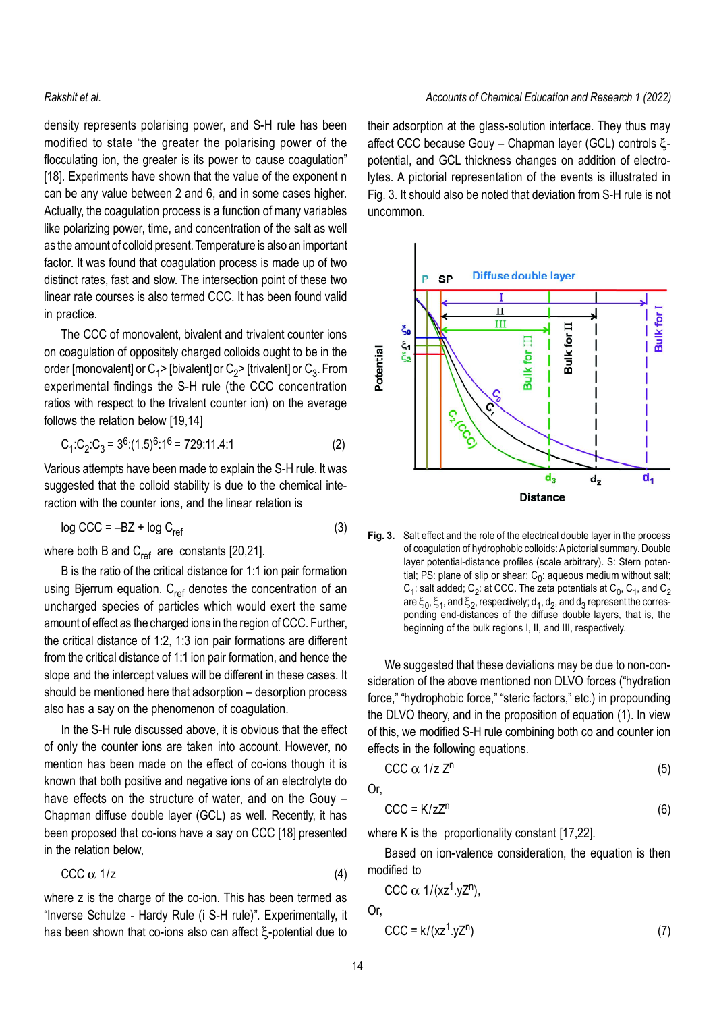density represents polarising power, and S-H rule has been modified to state "the greater the polarising power of the flocculating ion, the greater is its power to cause coagulation" [18]. Experiments have shown that the value of the exponent n can be any value between 2 and 6, and in some cases higher. Actually, the coagulation process is a function of many variables like polarizing power, time, and concentration of the salt as well as the amount of colloid present. Temperature is also an important factor. It was found that coagulation process is made up of two distinct rates, fast and slow. The intersection point of these two linear rate courses is also termed CCC. It has been found valid in practice.

The CCC of monovalent, bivalent and trivalent counter ions on coagulation of oppositely charged colloids ought to be in the order [monovalent] or C<sub>1</sub>> [bivalent] or C<sub>2</sub>> [trivalent] or C<sub>3</sub>. From experimental findings the S-H rule (the CCC concentration ratios with respect to the trivalent counter ion) on the average follows the relation below [19,14]

$$
C_1:C_2:C_3 = 3^6(1.5)^6:1^6 = 729:11.4:1
$$
 (2)

Various attempts have been made to explain the S-H rule. It was suggested that the colloid stability is due to the chemical interaction with the counter ions, and the linear relation is

$$
\log \text{CCC} = -\text{BZ} + \log \text{C}_{\text{ref}} \tag{3}
$$

where both B and  $C_{ref}$  are constants [20,21].

B is the ratio of the critical distance for 1:1 ion pair formation using Bjerrum equation.  $C_{ref}$  denotes the concentration of an uncharged species of particles which would exert the same amount of effect as the charged ions in the region of CCC. Further, the critical distance of 1:2, 1:3 ion pair formations are different from the critical distance of 1:1 ion pair formation, and hence the slope and the intercept values will be different in these cases. It should be mentioned here that adsorption – desorption process also has a say on the phenomenon of coagulation.

In the S-H rule discussed above, it is obvious that the effect of only the counter ions are taken into account. However, no mention has been made on the effect of co-ions though it is known that both positive and negative ions of an electrolyte do have effects on the structure of water, and on the Gouy – Chapman diffuse double layer (GCL) as well. Recently, it has been proposed that co-ions have a say on CCC [18] presented in the relation below,

$$
CCC \alpha 1/z \tag{4}
$$

where z is the charge of the co-ion. This has been termed as "Inverse Schulze - Hardy Rule (i S-H rule)". Experimentally, it has been shown that co-ions also can affect  $\xi$ -potential due to

their adsorption at the glass-solution interface. They thus may affect CCC because Gouy - Chapman layer (GCL) controls  $\xi$ potential, and GCL thickness changes on addition of electrolytes. A pictorial representation of the events is illustrated in Fig. 3. It should also be noted that deviation from S-H rule is not uncommon.



**Fig. 3.** Salt effect and the role of the electrical double layer in the process of coagulation of hydrophobic colloids: A pictorial summary. Double layer potential-distance profiles (scale arbitrary). S: Stern potential; PS: plane of slip or shear;  $\mathtt{C}_0$ : aqueous medium without salt;  $\textsf{C}_1$ : salt added;  $\textsf{C}_2$ : at CCC. The zeta potentials at  $\textsf{C}_0$ ,  $\textsf{C}_1$ , and  $\textsf{C}_2$ are  $\xi_0, \xi_1,$  and  $\xi_2$ , respectively;  $\mathsf{d}_1, \mathsf{d}_2,$  and  $\mathsf{d}_3$  represent the corresponding end-distances of the diffuse double layers, that is, the beginning of the bulk regions I, II, and III, respectively.

We suggested that these deviations may be due to non-consideration of the above mentioned non DLVO forces ("hydration force," "hydrophobic force," "steric factors," etc.) in propounding the DLVO theory, and in the proposition of equation (1). In view of this, we modified S-H rule combining both co and counter ion effects in the following equations.

$$
CCC \alpha \ 1/z \ Z^{n}
$$
 (5)

Or,

$$
CCC = K / zZn
$$
 (6)

where K is the proportionality constant [17,22].

Based on ion-valence consideration, the equation is then modified to

$$
CCC \alpha \ 1/(xz^1.yZ^n),
$$

Or,

$$
CCC = k/(xz1.yzn)
$$
 (7)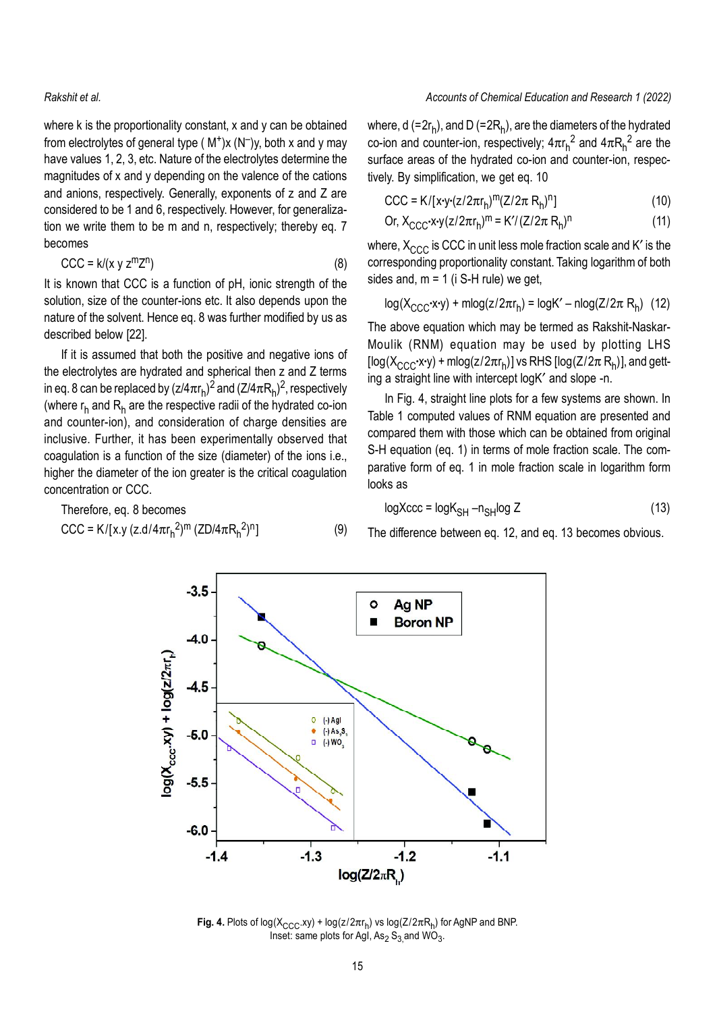where k is the proportionality constant, x and y can be obtained from electrolytes of general type  $(M^+)x(N^-)y$ , both x and y may have values 1, 2, 3, etc. Nature of the electrolytes determine the magnitudes of x and y depending on the valence of the cations and anions, respectively. Generally, exponents of z and Z are considered to be 1 and 6, respectively. However, for generalization we write them to be m and n, respectively; thereby eq. 7 becomes

$$
CCC = k/(x y zmzn)
$$
 (8)

It is known that CCC is a function of pH, ionic strength of the solution, size of the counter-ions etc. It also depends upon the nature of the solvent. Hence eq. 8 was further modified by us as described below [22].

If it is assumed that both the positive and negative ions of the electrolytes are hydrated and spherical then z and Z terms in eq. 8 can be replaced by (z/4 $\pi$ r<sub>h</sub>)<sup>2</sup> and (Z/4 $\pi$ R<sub>h</sub>)<sup>2</sup>, respectively (where  $\sf r_h$  and  $\sf R_h$  are the respective radii of the hydrated co-ion and counter-ion), and consideration of charge densities are inclusive. Further, it has been experimentally observed that coagulation is a function of the size (diameter) of the ions i.e., higher the diameter of the ion greater is the critical coagulation concentration or CCC.

Therefore, eq. 8 becomes  
\n
$$
CCC = K/[x.y (z.d/4\pi r_h^2)^m (ZD/4\pi R_h^2)^n]
$$
\n(9)

# *Rakshit et al. Accounts of Chemical Education and Research 1 (2022)*

where, d (=2 $r_h$ ), and D (=2 $R_h$ ), are the diameters of the hydrated co-ion and counter-ion, respectively; 4 $\pi$ r<sub>h</sub><sup>2</sup> and 4 $\pi$ R<sub>h</sub><sup>2</sup> are the surface areas of the hydrated co-ion and counter-ion, respectively. By simplification, we get eq. 10

$$
CCC = K/[x \cdot y \cdot (z/2\pi r_h)^m (Z/2\pi R_h)^n]
$$
 (10)

Or, 
$$
X_{CCC} \cdot x \cdot y (z/2\pi r_h)^m = K' / (Z/2\pi R_h)^n
$$
 (11)

where,  $X_{CCC}$  is CCC in unit less mole fraction scale and K' is the corresponding proportionality constant. Taking logarithm of both sides and,  $m = 1$  (i S-H rule) we get,

$$
log(X_{CCC} \cdot x \cdot y) + mlog(z/2\pi r_h) = logK' - nlog(Z/2\pi R_h)
$$
 (12)

The above equation which may be termed as Rakshit-Naskar-Moulik (RNM) equation may be used by plotting LHS [log(X $_{\rm CCC}$ ·x·y) + mlog(z/2 $\pi$ r $_{\mathsf{h}}$ )] vs RHS [log(Z/2 $\pi$  R $_{\mathsf{h}}$ )], and getting a straight line with intercept logK' and slope -n.

In Fig. 4, straight line plots for a few systems are shown. In Table 1 computed values of RNM equation are presented and compared them with those which can be obtained from original S-H equation (eq. 1) in terms of mole fraction scale. The comparative form of eq. 1 in mole fraction scale in logarithm form looks as

$$
logXccc = logK_{SH} - n_{SH}log Z
$$
 (13)

The difference between eq. 12, and eq. 13 becomes obvious.



**Fig. 4.** Plots of log(X<sub>CCC</sub>.xy) + log(z/2 $\pi$ r<sub>h</sub>) vs log(Z/2 $\pi$ R<sub>h</sub>) for AgNP and BNP. Inset: same plots for AgI, As<sub>2</sub> S<sub>3,</sub>and WO<sub>3</sub>.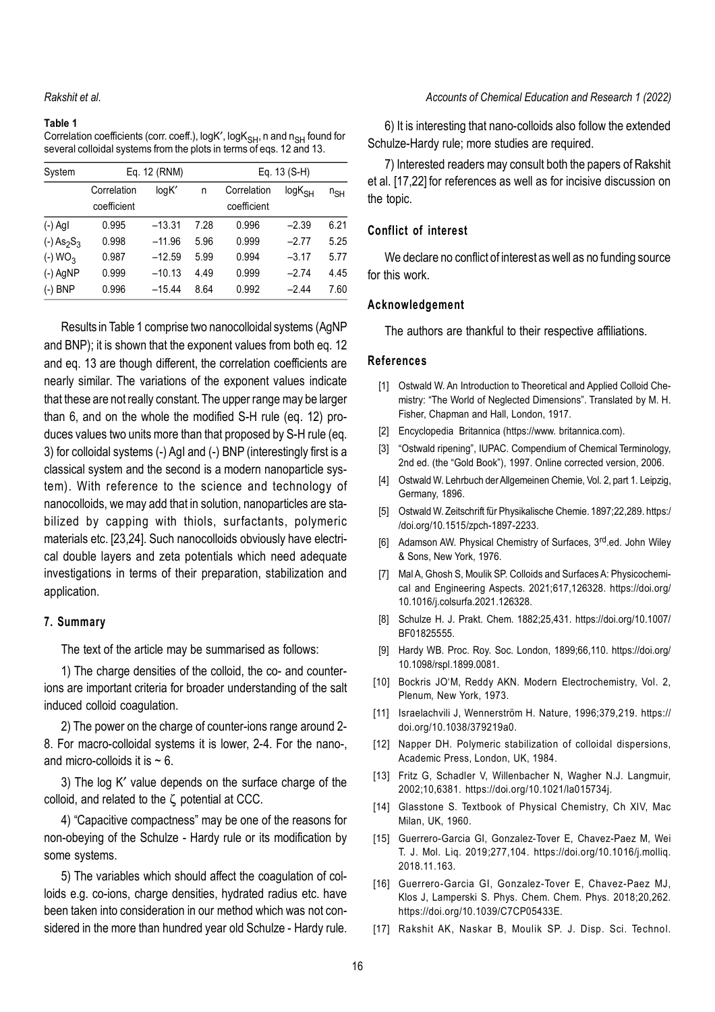#### **Table 1**

Correlation coefficients (corr. coeff.),  $log K$ ,  $log K<sub>SH</sub>$ , n and  $n<sub>SH</sub>$  found for several colloidal systems from the plots in terms of eqs. 12 and 13.

| System                               | Eq. 12 (RNM) |          |      | Eq. 13 (S-H) |              |          |
|--------------------------------------|--------------|----------|------|--------------|--------------|----------|
|                                      | Correlation  | logK'    | n    | Correlation  | $log K_{SH}$ | $n_{SH}$ |
|                                      | coefficient  |          |      | coefficient  |              |          |
| $(-)$ AgI                            | 0.995        | $-13.31$ | 7.28 | 0.996        | $-2.39$      | 6.21     |
| $(-)$ As <sub>2</sub> S <sub>3</sub> | 0.998        | $-11.96$ | 5.96 | 0.999        | $-2.77$      | 5.25     |
| $(-)$ WO <sub>3</sub>                | 0.987        | $-12.59$ | 5.99 | 0.994        | $-3.17$      | 5.77     |
| $(-)$ AgNP                           | 0.999        | $-10.13$ | 4.49 | 0.999        | $-2.74$      | 4.45     |
| $(-)$ BNP                            | 0.996        | $-15.44$ | 8.64 | 0.992        | $-2.44$      | 7.60     |

Results in Table 1 comprise two nanocolloidal systems (AgNP and BNP); it is shown that the exponent values from both eq. 12 and eq. 13 are though different, the correlation coefficients are nearly similar. The variations of the exponent values indicate that these are not really constant. The upper range may be larger than 6, and on the whole the modified S-H rule (eq. 12) produces values two units more than that proposed by S-H rule (eq. 3) for colloidal systems (-) AgI and (-) BNP (interestingly first is a classical system and the second is a modern nanoparticle system). With reference to the science and technology of nanocolloids, we may add that in solution, nanoparticles are stabilized by capping with thiols, surfactants, polymeric materials etc. [23,24]. Such nanocolloids obviously have electrical double layers and zeta potentials which need adequate investigations in terms of their preparation, stabilization and application.

#### **7. Summary**

The text of the article may be summarised as follows:

1) The charge densities of the colloid, the co- and counterions are important criteria for broader understanding of the salt induced colloid coagulation.

2) The power on the charge of counter-ions range around 2- 8. For macro-colloidal systems it is lower, 2-4. For the nano-, and micro-colloids it is  $\sim 6$ .

3) The log K' value depends on the surface charge of the colloid, and related to the  $\zeta$  potential at CCC.

4) "Capacitive compactness" may be one of the reasons for non-obeying of the Schulze - Hardy rule or its modification by some systems.

5) The variables which should affect the coagulation of colloids e.g. co-ions, charge densities, hydrated radius etc. have been taken into consideration in our method which was not considered in the more than hundred year old Schulze - Hardy rule.

### *Accounts of Chemical Education and Research 1 (2022)*

6) It is interesting that nano-colloids also follow the extended Schulze-Hardy rule; more studies are required.

7) Interested readers may consult both the papers of Rakshit et al. [17,22] for references as well as for incisive discussion on the topic.

# **Conflict of interest**

We declare no conflict of interest as well as no funding source for this work.

### **Acknowledgement**

The authors are thankful to their respective affiliations.

### **References**

- [1] Ostwald W. An Introduction to Theoretical and Applied Colloid Chemistry: "The World of Neglected Dimensions". Translated by M. H. Fisher, Chapman and Hall, London, 1917.
- [2] Encyclopedia Britannica (https://www. britannica.com).
- [3] "Ostwald ripening", IUPAC. Compendium of Chemical Terminology, 2nd ed. (the "Gold Book"), 1997. Online corrected version, 2006.
- [4] Ostwald W. Lehrbuch der Allgemeinen Chemie, Vol. 2, part 1. Leipzig, Germany, 1896.
- [5] Ostwald W. Zeitschrift für Physikalische Chemie. 1897;22,289. https:/ /doi.org/10.1515/zpch-1897-2233.
- [6] Adamson AW. Physical Chemistry of Surfaces, 3<sup>rd</sup> ed. John Wiley & Sons, New York, 1976.
- [7] Mal A, Ghosh S, Moulik SP. Colloids and Surfaces A: Physicochemical and Engineering Aspects. 2021;617,126328. https://doi.org/ 10.1016/j.colsurfa.2021.126328.
- [8] Schulze H. J. Prakt. Chem. 1882;25,431. https://doi.org/10.1007/ BF01825555.
- [9] Hardy WB. Proc. Roy. Soc. London, 1899;66,110. https://doi.org/ 10.1098/rspl.1899.0081.
- [10] Bockris JO'M, Reddy AKN. Modern Electrochemistry, Vol. 2, Plenum, New York, 1973.
- [11] Israelachvili J, Wennerström H. Nature, 1996;379,219. https:// doi.org/10.1038/379219a0.
- [12] Napper DH. Polymeric stabilization of colloidal dispersions, Academic Press, London, UK, 1984.
- [13] Fritz G, Schadler V, Willenbacher N, Wagher N.J. Langmuir, 2002;10,6381. https://doi.org/10.1021/la015734j.
- [14] Glasstone S. Textbook of Physical Chemistry, Ch XIV, Mac Milan, UK, 1960.
- [15] Guerrero-Garcia GI, Gonzalez-Tover E, Chavez-Paez M, Wei T. J. Mol. Liq. 2019;277,104. https://doi.org/10.1016/j.molliq. 2018.11.163.
- [16] Guerrero-Garcia GI, Gonzalez-Tover E, Chavez-Paez MJ, Klos J, Lamperski S. Phys. Chem. Chem. Phys. 2018;20,262. https://doi.org/10.1039/C7CP05433E.
- [17] Rakshit AK, Naskar B, Moulik SP. J. Disp. Sci. Technol.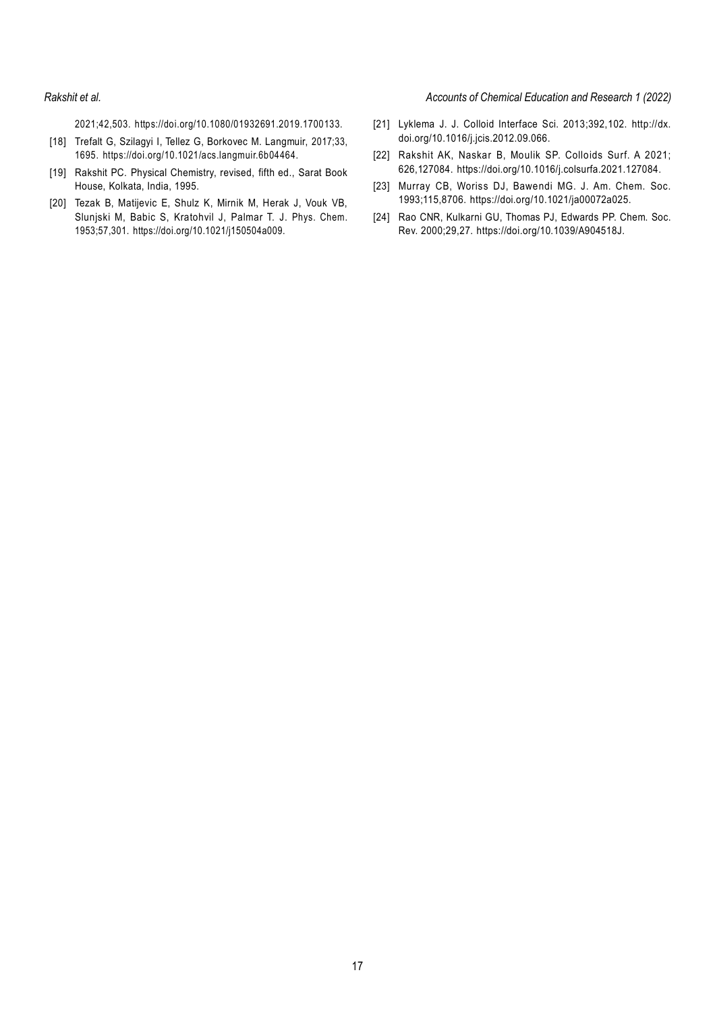#### *Rakshit et al. Accounts of Chemical Education and Research 1 (2022)*

2021;42,503. https://doi.org/10.1080/01932691.2019.1700133.

- [18] Trefalt G, Szilagyi I, Tellez G, Borkovec M, Langmuir, 2017;33, 1695. https://doi.org/10.1021/acs.langmuir.6b04464.
- [19] Rakshit PC. Physical Chemistry, revised, fifth ed., Sarat Book House, Kolkata, India, 1995.
- [20] Tezak B, Matijevic E, Shulz K, Mirnik M, Herak J, Vouk VB, Slunjski M, Babic S, Kratohvil J, Palmar T. J. Phys. Chem. 1953;57,301. https://doi.org/10.1021/j150504a009.
- [21] Lyklema J. J. Colloid Interface Sci. 2013;392,102. http://dx. doi.org/10.1016/j.jcis.2012.09.066.
- [22] Rakshit AK, Naskar B, Moulik SP. Colloids Surf. A 2021; 626,127084. https://doi.org/10.1016/j.colsurfa.2021.127084.
- [23] Murray CB, Woriss DJ, Bawendi MG. J. Am. Chem. Soc. 1993;115,8706. https://doi.org/10.1021/ja00072a025.
- [24] Rao CNR, Kulkarni GU, Thomas PJ, Edwards PP. Chem. Soc. Rev. 2000;29,27. https://doi.org/10.1039/A904518J.